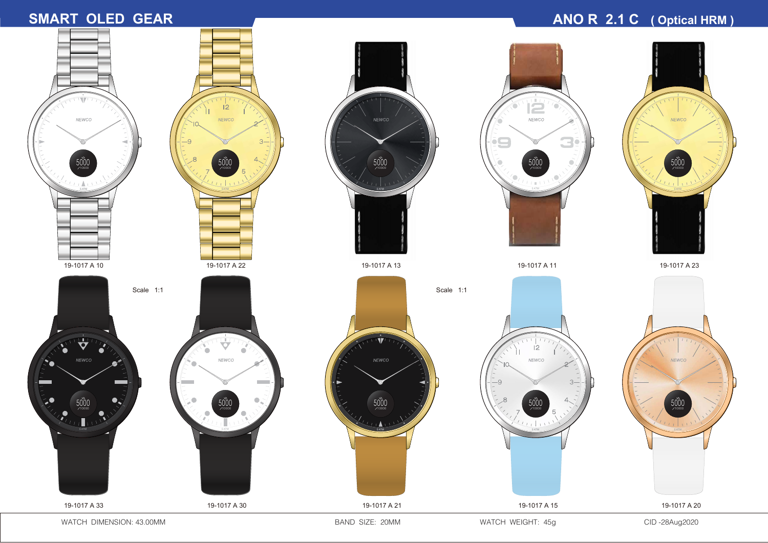# **SMART OLED GEAR ANO R 2.1 C** ( Optical HRM )



WATCH DIMENSION: 43.00MM BAND SIZE: 20MM BAND SIZE: 20MM WATCH WEIGHT: 45g CID-28Aug2020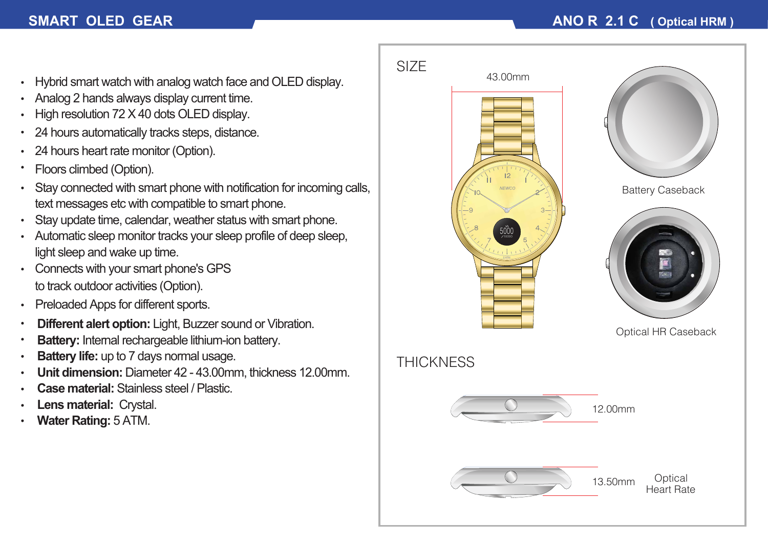## **SMART OLED GEAR ANO R 2.1 C** ( Optical HRM )

- Hybrid smart watch with analog watch face and OLED display.
- Analog 2 hands always display current time.
- High resolution 72 X 40 dots OLED display.
- 24 hours automatically tracks steps, distance.
- 24 hours heart rate monitor (Option).
- Floors climbed (Option).
- Stay connected with smart phone with notification for incoming calls, text messages etc with compatible to smart phone.
- Stay update time, calendar, weather status with smart phone.
- Automatic sleep monitor tracks your sleep profile of deep sleep, light sleep and wake up time.
- Connects with your smart phone's GPS to track outdoor activities (Option).
- Preloaded Apps for different sports.
- **Different alert option:** Light, Buzzer sound or Vibration.
- **Battery:** Internal rechargeable lithium-ion battery.
- **Battery life:** up to 7 days normal usage.
- **Unit dimension:** Diameter 42 43.00mm, thickness 12.00mm.
- **Case material:** Stainless steel / Plastic.
- **Lens material:** Crystal.
- **Water Rating:** 5 ATM.

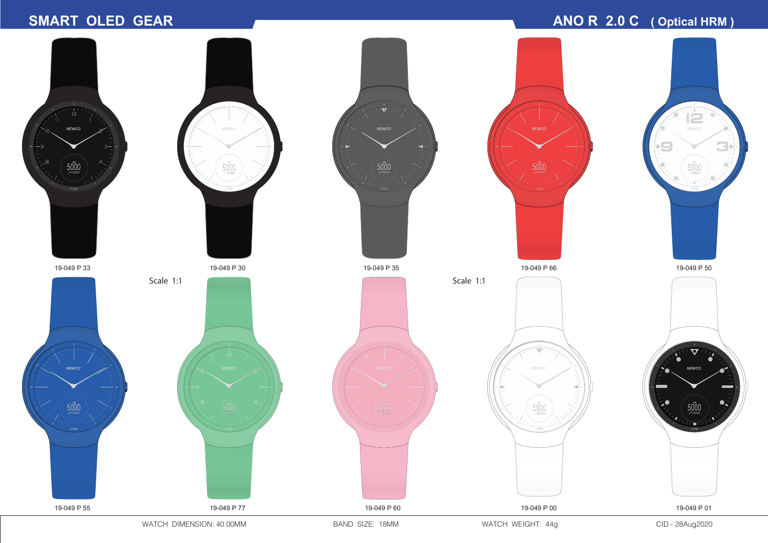## **SMART OLED GEAR ANO R 2.0 C** ( Optical HRM )